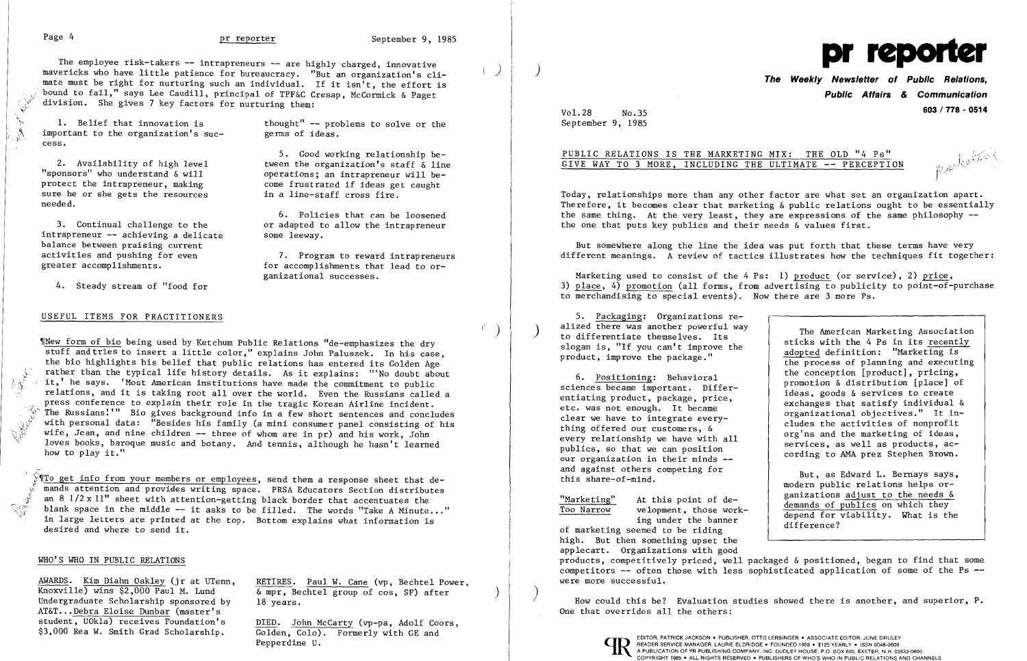.V

 $1.9<sup>27</sup>$ 

2. Availability of high level tween the organization's staff & line<br>ponsors" who understand & will sperations; an intrapreneur will be-"sponsors" who understand & will operations; an intrapreneur will be-<br>protect the intrapreneur, making one frustrated if ideas get caught protect the intrapreneur, making come frustrated if ideas get<br>sure he or she gets the resources in a line-staff cross fire. sure he or she gets the resources needed.

3. Continual challenge to the or adapted to allow the intrapreneur<br>trapreneur -- achieving a delicate some leeway.  $intraperneur -- achieving a delicate$ balance between praising current activities and pushing for even 7. Program to reward intrapreneurs<br>greater accomplishments. The for accomplishments that lead to or-

5. Good working relationship be-

6. Policies that can be loosened

for accomplishments that lead to or-

ganizational successes.

The employee risk-takers -- intrapreneurs -- are highly charged, innovative mavericks who have little patience for bureaucracy. "But an organization's climate must be right for nurturing such an individual. If it isn<sup>i</sup>t, the effort is bound to fail," says Lee Caudill, principal of TPF&C Cresap, McCormick & Paget division. She gives 7 key factors for nurturing them:

1. Belief that innovation is thought" -- problems to solve or the portant to the organization's suc-<br>germs of ideas. important to the organization's success.

4. Steady stream of "food for

## USEFUL ITEMS FOR PRACTITIONERS

Undergraduate Scholarship sponsored by 18 years. AT&T... Debra Eloise Dunbar (master's student, UOkla) receives Foundation's Ĭ student, UOkla) receives Foundation's  $\frac{DIED.}{Golden}$ . John McCarty (vp-pa, Adolf Coors, \$3,000 Rea W. Smith Grad Scholarship.  $\frac{Golden}{}$ . Colo). Formerly with GE and

 $\frac{\text{AWARDS}}{\text{Knowville}}$  (jr at UTenn, RETIRES. Paul W. Cane (vp, Bechtel Power, Knoxville) wins \$2,000 Paul M. Lund  $\&$  mpr, Bechtel group of cos, SF) after

> Golden, Colo). Formerly with GE and Pepperdine U.

~INew form of bio being used by Ketchum Public Relations "de-emphasizes the dry stuff and tries to insert a little color," explains John Paluszek. In his case, the bio highlights his belief that public relations has entered its Golden Age f rather than the typical life history details. As it explains: "'No doubt about I. it,' he says. 'Most American institutions have made the commitment to public relations, and it is taking root all over the world. Even the Russians called a press conference to explain their role in the tragic Korean Airline incident. The Russians!'" Bio gives background info in a few short sentences and concludes<br> $\mathbb{Q}^{\mathcal{Y}}$  with personal data: "Besides his family (a mini consumer panel consisting of his<br>wife, Jean, and nine children -- three of w with personal data: "Besides his family (a mini consumer panel consisting of his wife, Jean, and nine children -- three of whom are in pr) and his work, John loves books, baroque music and botany. And tennis, although he hasn't learned how to play it."

 $\sqrt[S]{\P}$  o get info from your members or employees, send them a response sheet that demands attention and provides writing space. PRSA Educators Section distributes an 8  $1/2 \times 11$ " sheet with attention-getting black border that accentuates the  $\frac{1}{2}$  an 8 1/2 x 11" sheet with attention-getting black border that accentuates the blank space in the middle -- it asks to be filled. The words "Take A Minute..." , in large letters are printed at the top. Bottom explains what information is desired and where to send it. İ,

etc. was not enough. It became<br>
clear we have to integrate every-<br>
thing offered our customers, &<br>
every relationship we have with all<br>
publics, so that we can position<br>
our organization in their minds --<br>
ording to AMA pr our organization in their minds -

## WHO'S WHO IN PUBLIC RELATIONS

)

r' )

 $\big)$ 



# **The Weekly Newsletter of Public Relations, Public Affairs & Communication**

Vol.28 No.35 **603/778 - <sup>0514</sup>** September 9, 1985

## PUBLIC RELATIONS IS THE MARKETING MIX: THE OLD "4 Ps"  $\frac{1}{2}$   $\frac{1}{2}$ GIVE WAY TO 3 MORE, INCLUDING THE ULTIMATE -- PERCEPTION

J

alized there was another powerful way<br>to differentiate themselves. Its<br>slogan is, "If you can't improve the<br>product, improve the package."<br>the process of planning and executing 6. <u>Positioning</u>: Behavioral the conception [product], pricing,<br>sciences became important. Differ-<br>entiating product, package, price,<br>etc. was not enough. It became<br>exchanges that satisfy individual & entrating product, package, price,<br>etc. was not enough. It became<br>clear we have to integrate every-<br>clear we have to integrate every-

and against others competing for and against others competing for a section of the set of the set of the set o<br>
modern public relations helps or-Warketing" At this point of de-<br>
Too Narrow welopment, those work-<br>
ing under the banner<br>
of marketing seemed to be riding<br>
depend for viability. What is the<br>
difference?

Today, relationships more than any other factor are what set an organization apart. Therefore, it becomes clear that marketing & public relations ought to be essentially the same thing. At the very least, they are expressions of the same philosophy -the one that puts key publics and their needs & values first.

But somewhere along the line the idea was put forth that these terms have very different meanings. A review of tactics illustrates how the techniques fit together:

Marketing used to consist of the 4 Ps: 1) product (or service), 2) price, 3) place, 4) promotion (all forms, from advertising to publicity to point-of-purchase to merchandising to special events). Now there are 3 more Ps.

5. <u>Packaging</u>: Organizations realized there was another powerful way<br>to differentiate themselves. Its

high. But then something upset the applecart. Organizations with good products, competitively priced, well packaged & positioned, began to find that some competitors -- often those with less sophisticated application of some of the Ps -were more successful.

) How could this be? Evaluation studies showed there is another, and superior, P. One that overrides all the others: